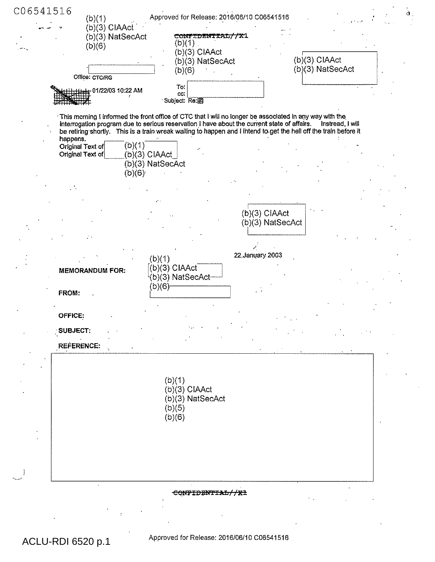| C06541516<br>(b)(1)<br>(b)(3) CIAAct             | Approved for Release: 2016/06/10 C06541516                                                                                                                                                                                                                                                                                  | $\dot{\mathbf{d}}$ .              |
|--------------------------------------------------|-----------------------------------------------------------------------------------------------------------------------------------------------------------------------------------------------------------------------------------------------------------------------------------------------------------------------------|-----------------------------------|
| (b)(3) NatSecAct<br>(b)(6)                       | CONFIDENTIAL//X1<br>(b)(1)<br>(b)(3) CIAAct<br>(b)(3) NatSecAct<br>(b)(6)                                                                                                                                                                                                                                                   | (b)(3) CIAAct<br>(b)(3) NatSecAct |
| Office: CTC/RG<br>HHHH 01/22/03 10:22 AM         | To:<br>CC:<br>Subject: Re: 图                                                                                                                                                                                                                                                                                                |                                   |
|                                                  | This morning I informed the front office of CTC that I will no longer be associated in any way with the<br>interrogation program due to serious reservation I have about the current state of affairs.<br>be retiring shortly. This is a train wreak waiting to happen and I intend to get the hell off the train before it | Instread, I will                  |
| happens.<br>Original Text of<br>Original Text of | (b)(1)<br>(b)(3) CIAAct_<br>(b)(3) NatSecAct<br>(b)(6)                                                                                                                                                                                                                                                                      |                                   |
|                                                  |                                                                                                                                                                                                                                                                                                                             |                                   |
|                                                  | $(b)(3)$ CIAAct                                                                                                                                                                                                                                                                                                             | (b)(3) NatSecAct                  |
|                                                  | 22. January 2003<br>(b)(1)                                                                                                                                                                                                                                                                                                  |                                   |
| <b>MEMORANDUM FOR:</b><br>FROM:                  | $($ b $)(3)$ CIAAct<br>(b)(3) NatSecAct-<br>(b)(6)-                                                                                                                                                                                                                                                                         |                                   |
| OFFICE:                                          |                                                                                                                                                                                                                                                                                                                             |                                   |
| <b>SUBJECT:</b><br><b>REFERENCE:</b>             |                                                                                                                                                                                                                                                                                                                             |                                   |
|                                                  | (b)(1)<br>(b)(3) CIAAct                                                                                                                                                                                                                                                                                                     |                                   |
|                                                  | (b)(3) NatSecAct<br>(b)(5)<br>(b)(6)                                                                                                                                                                                                                                                                                        |                                   |
|                                                  |                                                                                                                                                                                                                                                                                                                             |                                   |
|                                                  | CONFIDENTIAL//X1                                                                                                                                                                                                                                                                                                            |                                   |

Approved for Release: 2016/06/10 C06541516

ACLU-RDI 6520 p.1

 $\ddot{\phantom{a}}$